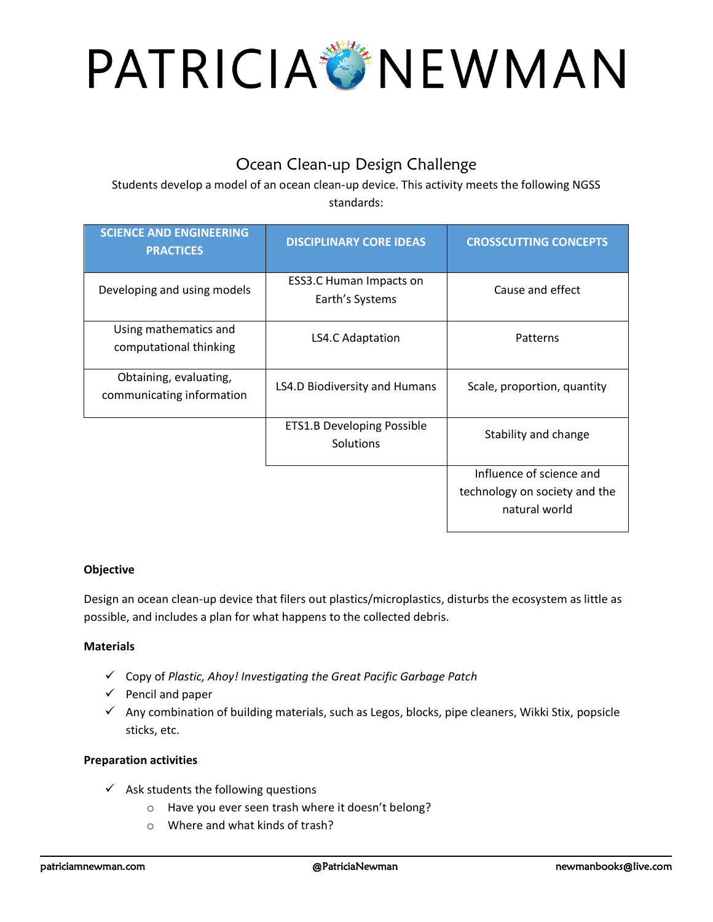# PATRICIA MEWMAN

## Ocean Clean-up Design Challenge

Students develop a model of an ocean clean-up device. This activity meets the following NGSS standards:

| <b>SCIENCE AND ENGINEERING</b><br><b>PRACTICES</b>  | <b>DISCIPLINARY CORE IDEAS</b>                 | <b>CROSSCUTTING CONCEPTS</b>                   |
|-----------------------------------------------------|------------------------------------------------|------------------------------------------------|
| Developing and using models                         | ESS3.C Human Impacts on<br>Earth's Systems     | Cause and effect                               |
| Using mathematics and<br>computational thinking     | LS4.C Adaptation                               | Patterns                                       |
| Obtaining, evaluating,<br>communicating information | LS4.D Biodiversity and Humans                  | Scale, proportion, quantity                    |
|                                                     | <b>ETS1.B Developing Possible</b><br>Solutions | Stability and change                           |
|                                                     |                                                | Influence of science and                       |
|                                                     |                                                | technology on society and the<br>natural world |

### **Objective**

Design an ocean clean-up device that filers out plastics/microplastics, disturbs the ecosystem as little as possible, and includes a plan for what happens to the collected debris.

#### **Materials**

- ✓ Copy of *Plastic, Ahoy! Investigating the Great Pacific Garbage Patch*
- $\checkmark$  Pencil and paper
- $\checkmark$  Any combination of building materials, such as Legos, blocks, pipe cleaners, Wikki Stix, popsicle sticks, etc.

#### **Preparation activities**

- $\checkmark$  Ask students the following questions
	- o Have you ever seen trash where it doesn't belong?
	- o Where and what kinds of trash?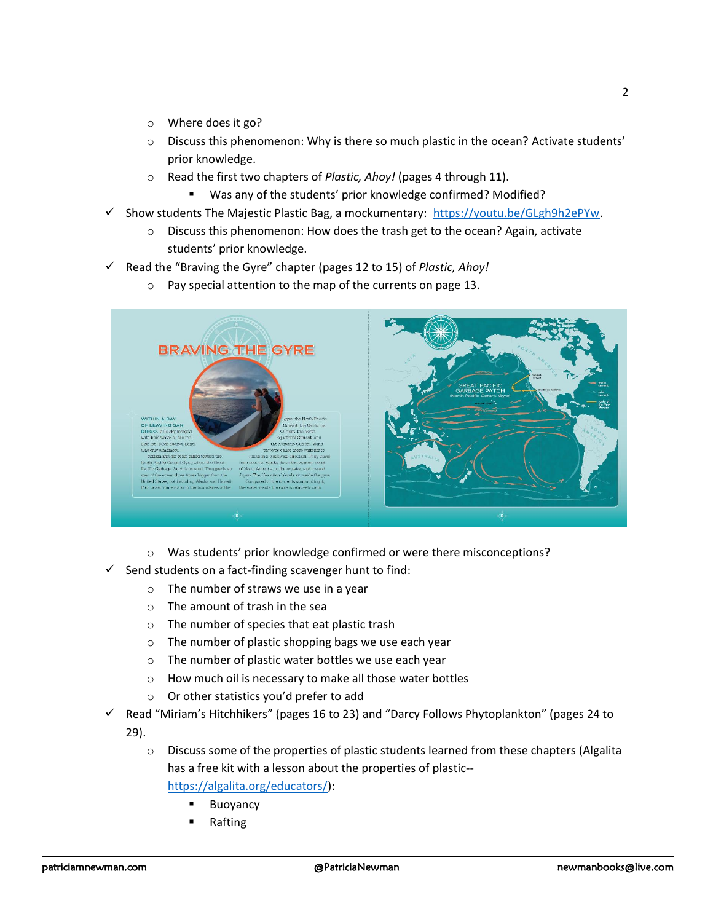- o Where does it go?
- o Discuss this phenomenon: Why is there so much plastic in the ocean? Activate students' prior knowledge.
- o Read the first two chapters of *Plastic, Ahoy!* (pages 4 through 11).
	- Was any of the students' prior knowledge confirmed? Modified?
- $\checkmark$  Show students The Majestic Plastic Bag, a mockumentary: [https://youtu.be/GLgh9h2ePYw.](https://youtu.be/GLgh9h2ePYw)
	- o Discuss this phenomenon: How does the trash get to the ocean? Again, activate students' prior knowledge.
- ✓ Read the "Braving the Gyre" chapter (pages 12 to 15) of *Plastic, Ahoy!*
	- o Pay special attention to the map of the currents on page 13.



- o Was students' prior knowledge confirmed or were there misconceptions?
- $\checkmark$  Send students on a fact-finding scavenger hunt to find:
	- o The number of straws we use in a year
	- $\circ$  The amount of trash in the sea
	- o The number of species that eat plastic trash
	- o The number of plastic shopping bags we use each year
	- o The number of plastic water bottles we use each year
	- o How much oil is necessary to make all those water bottles
	- o Or other statistics you'd prefer to add
- $\checkmark$  Read "Miriam's Hitchhikers" (pages 16 to 23) and "Darcy Follows Phytoplankton" (pages 24 to 29).
	- $\circ$  Discuss some of the properties of plastic students learned from these chapters (Algalita has a free kit with a lesson about the properties of plastic- [https://algalita.org/educators/\)](https://algalita.org/educators/):
		- **Buoyancy** 
			- **Rafting**